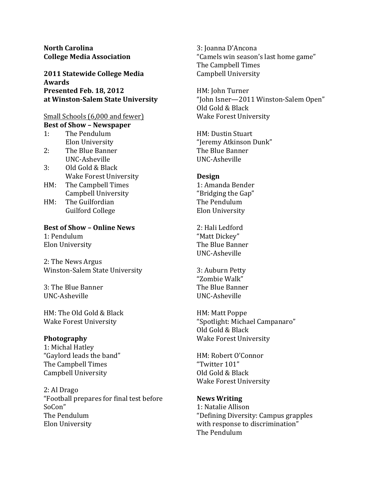**North Carolina College&Media&Association**

**2011 Statewide College Media Awards Presented Feb. 18, 2012 at&Winston?Salem&State&University**

# Small Schools (6,000 and fewer) **Best of Show - Newspaper**

- 1: The Pendulum Elon University
- 2: The Blue Banner UNC-Asheville
- 3: Old Gold & Black Wake Forest University
- HM: The Campbell Times Campbell University
- HM: The Guilfordian Guilford College

## **Best of Show - Online News**

1: Pendulum Elon University

2: The News Argus Winston-Salem State University

3: The Blue Banner UNC-Asheville

HM: The Old Gold & Black Wake Forest University

## **Photography**

1: Michal Hatley "Gaylord leads the band" The Campbell Times Campbell University

2: Al Drago "Football prepares for final test before SoCon" The Pendulum Elon University

3: Joanna D'Ancona "Camels win season's last home game" The Campbell Times Campbell University

HM: John Turner "John Isner—2011 Winston-Salem Open" Old Gold & Black Wake Forest University

HM: Dustin Stuart "Jeremy Atkinson Dunk" The Blue Banner UNC-Asheville

## **Design**

1: Amanda Bender "Bridging the Gap" The Pendulum Elon University

2: Hali Ledford "Matt Dickey" The Blue Banner UNC-Asheville

3: Auburn Petty "Zombie Walk" The Blue Banner UNC-Asheville

HM: Matt Poppe "Spotlight: Michael Campanaro" Old Gold & Black Wake Forest University

HM: Robert O'Connor "Twitter 101" Old Gold & Black Wake Forest University

# **News&Writing**

1: Natalie Allison "Defining Diversity: Campus grapples with response to discrimination" The Pendulum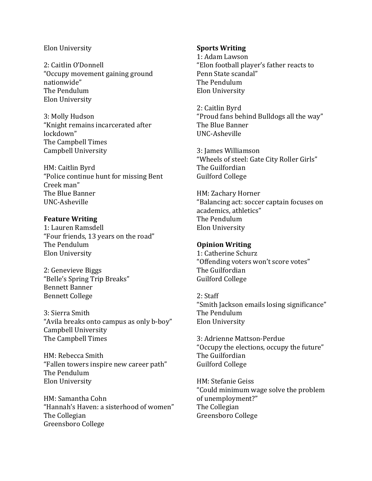#### Elon University

2: Caitlin O'Donnell "Occupy movement gaining ground nationwide" The Pendulum Elon University

3: Molly Hudson "Knight remains incarcerated after lockdown" The Campbell Times Campbell University

HM: Caitlin Byrd "Police continue hunt for missing Bent Creek man" The Blue Banner UNC-Asheville

### **Feature Writing**

1: Lauren Ramsdell "Four friends, 13 years on the road" The Pendulum Elon University

2: Genevieve Biggs "Belle's Spring Trip Breaks" Bennett Banner Bennett College

3: Sierra Smith "Avila breaks onto campus as only b-boy" Campbell University The Campbell Times

HM: Rebecca Smith "Fallen towers inspire new career path" The Pendulum Elon University

HM: Samantha Cohn "Hannah's Haven: a sisterhood of women" The Collegian Greensboro College

### **Sports Writing**

1: Adam Lawson "Elon football player's father reacts to Penn State scandal" The Pendulum Elon University

2: Caitlin Byrd "Proud fans behind Bulldogs all the way" The Blue Banner UNC-Asheville

3: James Williamson "Wheels of steel: Gate City Roller Girls" The Guilfordian Guilford College

HM: Zachary Horner "Balancing act: soccer captain focuses on academics, athletics" The Pendulum Elon University

## **Opinion Writing**

1: Catherine Schurz "Offending voters won't score votes" The Guilfordian Guilford College

 $2:$  Staff "Smith Jackson emails losing significance" The Pendulum **Elon University** 

3: Adrienne Mattson-Perdue "Occupy the elections, occupy the future" The Guilfordian Guilford College

HM: Stefanie Geiss "Could minimum wage solve the problem of unemployment?" The Collegian Greensboro College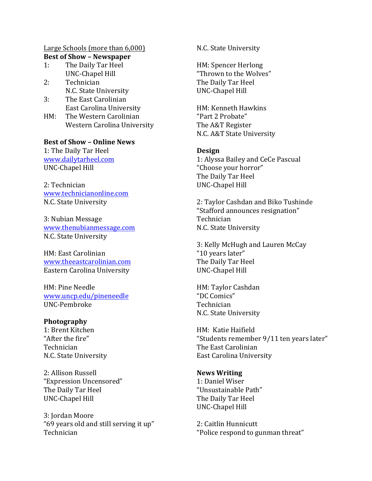# Large Schools (more than 6,000) **Best of Show - Newspaper**

- The Daily Tar Heel  $1:$ **UNC-Chapel Hill**
- $2:$ Technician N.C. State University
- $3:$ The East Carolinian East Carolina University
- $HM:$ The Western Carolinian Western Carolina University

**Best of Show - Online News** 1: The Daily Tar Heel

www.dailytarheel.com **UNC-Chapel Hill** 

2: Technician www.technicianonline.com N.C. State University

3: Nubian Message www.thenubianmessage.com N.C. State University

HM: East Carolinian www.theeastcarolinian.com Eastern Carolina University

HM: Pine Needle www.uncp.edu/pineneedle UNC-Pembroke

## Photography

1: Brent Kitchen "After the fire" Technician N.C. State University

2: Allison Russell "Expression Uncensored" The Daily Tar Heel **UNC-Chapel Hill** 

3: Jordan Moore "69 years old and still serving it up" Technician

N.C. State University

HM: Spencer Herlong "Thrown to the Wolves" The Daily Tar Heel **UNC-Chapel Hill** 

HM: Kenneth Hawkins "Part 2 Probate" The A&T Register N.C. A&T State University

# **Design**

1: Alyssa Bailey and CeCe Pascual "Choose your horror" The Daily Tar Heel **UNC-Chapel Hill** 

2: Taylor Cashdan and Biko Tushinde "Stafford announces resignation" Technician N.C. State University

3: Kelly McHugh and Lauren McCay "10 years later" The Daily Tar Heel **UNC-Chapel Hill** 

HM: Taylor Cashdan "DC Comics" Technician N.C. State University

HM: Katie Haifield "Students remember 9/11 ten years later" The East Carolinian **East Carolina University** 

**News Writing** 1: Daniel Wiser "Unsustainable Path" The Daily Tar Heel **UNC-Chapel Hill** 

2: Caitlin Hunnicutt "Police respond to gunman threat"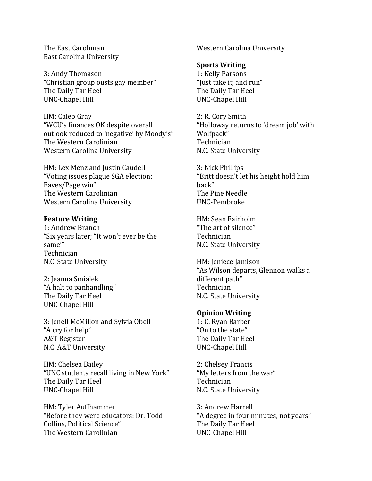The East Carolinian **East Carolina University** 

3: Andy Thomason "Christian group ousts gay member" The Daily Tar Heel UNC-Chapel Hill

HM: Caleb Gray "WCU's finances OK despite overall outlook reduced to 'negative' by Moody's" The Western Carolinian Western Carolina University

HM: Lex Menz and Justin Caudell "Voting issues plague SGA election: Eaves/Page win" The Western Carolinian Western Carolina University

## **Feature Writing**

1: Andrew Branch "Six vears later: "It won't ever be the same" Technician N.C. State University

2: Jeanna Smialek "A halt to panhandling" The Daily Tar Heel **UNC-Chapel Hill** 

3: Jenell McMillon and Sylvia Obell "A cry for help" **A&T** Register N.C. A&T University

HM: Chelsea Bailey "UNC students recall living in New York" The Daily Tar Heel **UNC-Chapel Hill** 

HM: Tyler Auffhammer "Before they were educators: Dr. Todd Collins. Political Science" The Western Carolinian

Western Carolina University

### **Sports Writing**

1: Kelly Parsons "Just take it, and run" The Daily Tar Heel **UNC-Chapel Hill** 

2: R. Cory Smith "Holloway returns to 'dream job' with Wolfpack" Technician N.C. State University

3: Nick Phillips "Britt doesn't let his height hold him hack" The Pine Needle **UNC-Pembroke** 

HM: Sean Fairholm "The art of silence" Technician N.C. State University

HM: Jeniece Jamison "As Wilson departs, Glennon walks a different path" Technician N.C. State University

#### **Opinion Writing**

1: C. Rvan Barber "On to the state" The Daily Tar Heel **UNC-Chapel Hill** 

2: Chelsey Francis "My letters from the war" Technician N.C. State University

3: Andrew Harrell "A degree in four minutes, not years" The Daily Tar Heel **UNC-Chapel Hill**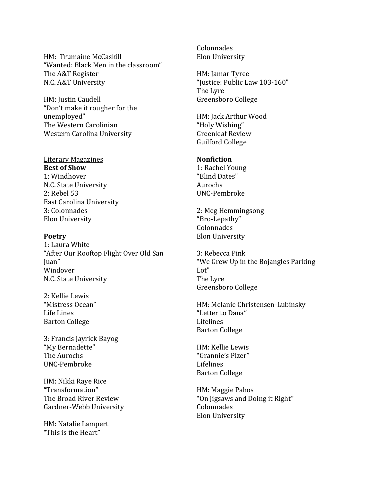HM: Trumaine McCaskill "Wanted: Black Men in the classroom" The A&T Register N.C. A&T University

HM: Justin Caudell "Don't make it rougher for the unemployed" The Western Carolinian Western Carolina University

**Literary Magazines Best of Show** 1: Windhover N.C. State University 2: Rebel 53 East Carolina University 3: Colonnades Elon University

### **Poetry**

1: Laura White "After Our Rooftop Flight Over Old San Juan"! Windover N.C. State University

2: Kellie Lewis "Mistress Ocean" Life Lines Barton College

3: Francis Jayrick Bayog "My Bernadette" The!Aurochs UNC-Pembroke

HM: Nikki Raye Rice "Transformation"! The Broad River Review Gardner-Webb University

HM: Natalie Lampert "This is the Heart"

Colonnades **Elon University** 

HM: Jamar Tyree "Justice: Public Law 103-160" The Lyre Greensboro College

HM: Jack Arthur Wood "Holy Wishing" Greenleaf Review Guilford College

## **Nonfiction**

1: Rachel Young "Blind Dates" Aurochs UNC-Pembroke

2: Meg Hemmingsong "Bro-Lepathy" Colonnades Elon University

3: Rebecca Pink "We Grew Up in the Bojangles Parking Lot" The Lyre Greensboro College

HM: Melanie Christensen-Lubinsky "Letter to Dana" Lifelines **Barton College** 

HM: Kellie Lewis "Grannie's Pizer" Lifelines Barton College

HM: Maggie Pahos "On Jigsaws and Doing it Right" Colonnades Elon University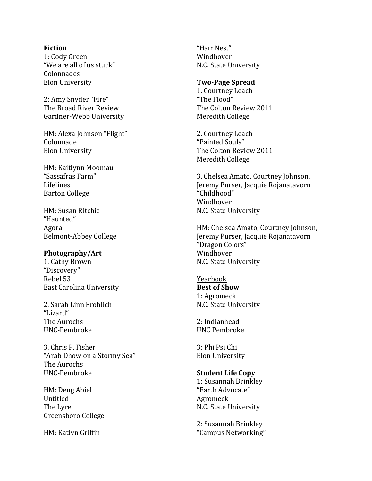#### **Fiction**

1: Cody Green "We are all of us stuck" Colonnades Elon University

2: Amy Snyder "Fire" The Broad River Review Gardner-Webb University

HM: Alexa Johnson "Flight" Colonnade Elon University

HM: Kaitlynn Moomau "Sassafras Farm" Lifelines **Barton College** 

HM: Susan Ritchie "Haunted" Agora Belmont-Abbey College

#### **Photography/Art**

1. Cathy Brown "Discovery" Rebel 53 East Carolina University

2. Sarah Linn Frohlich "Lizard" The Aurochs UNC-Pembroke

3. Chris P. Fisher "Arab Dhow on a Stormy Sea" The Aurochs UNC-Pembroke

HM: Deng Abiel Untitled The Lyre Greensboro College

HM: Katlyn Griffin

"Hair Nest" Windhover N.C. State University

#### **Two?Page&Spread**

1. Courtney Leach "The Flood" The Colton Review 2011 Meredith College

2. Courtney Leach "Painted Souls" The Colton Review 2011 Meredith College

3. Chelsea Amato, Courtney Johnson, Jeremy Purser, Jacquie Rojanatavorn "Childhood" Windhover N.C. State University

HM: Chelsea Amato, Courtney Johnson, Jeremy Purser, Jacquie Rojanatavorn "Dragon Colors" Windhover N.C. State University

Yearbook **Best of Show** 1: Agromeck N.C. State University

2: Indianhead UNC Pembroke

3: Phi Psi Chi Elon University

### **Student Life Copy**

1: Susannah Brinkley "Earth Advocate" Agromeck N.C. State University

2: Susannah Brinkley "Campus Networking"